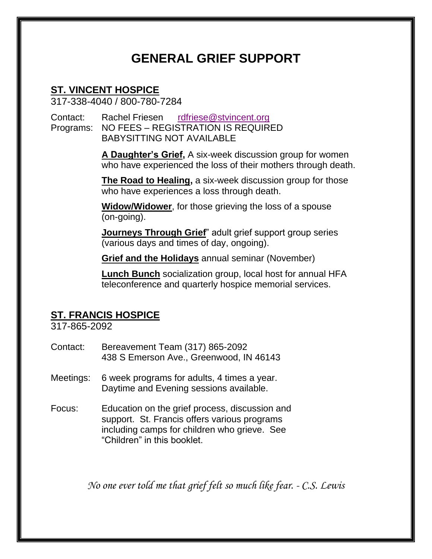# **GENERAL GRIEF SUPPORT**

# **ST. VINCENT HOSPICE**

317-338-4040 / 800-780-7284

Contact: Rachel Friesen [rdfriese@stvincent.org](mailto:rdfriese@stvincent.org) Programs: NO FEES – REGISTRATION IS REQUIRED BABYSITTING NOT AVAILABLE

> **A Daughter's Grief,** A six-week discussion group for women who have experienced the loss of their mothers through death.

**The Road to Healing,** a six-week discussion group for those who have experiences a loss through death.

**Widow/Widower**, for those grieving the loss of a spouse (on-going).

**Journeys Through Grief**" adult grief support group series (various days and times of day, ongoing).

**Grief and the Holidays** annual seminar (November)

**Lunch Bunch** socialization group, local host for annual HFA teleconference and quarterly hospice memorial services.

### **ST. FRANCIS HOSPICE**

317-865-2092

- Contact: Bereavement Team (317) 865-2092 438 S Emerson Ave., Greenwood, IN 46143
- Meetings: 6 week programs for adults, 4 times a year. Daytime and Evening sessions available.
- Focus: Education on the grief process, discussion and support. St. Francis offers various programs including camps for children who grieve. See "Children" in this booklet.

*No one ever told me that grief felt so much like fear. - C.S. Lewis*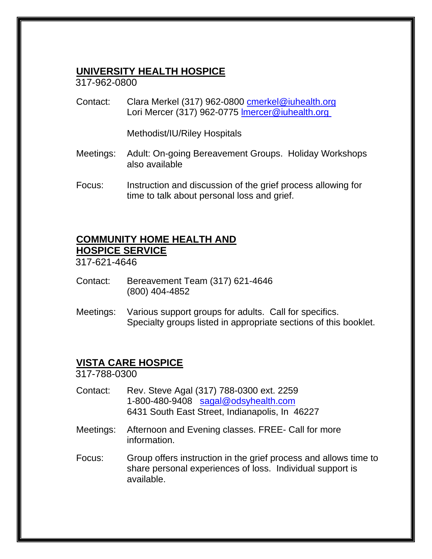#### **UNIVERSITY HEALTH HOSPICE**

317-962-0800

Contact: Clara Merkel (317) 962-0800 [cmerkel@iuhealth.org](mailto:cmerkel@iuhealth.org) Lori Mercer (317) 962-0775 Imercer@iuhealth.org

Methodist/IU/Riley Hospitals

- Meetings: Adult: On-going Bereavement Groups. Holiday Workshops also available
- Focus: Instruction and discussion of the grief process allowing for time to talk about personal loss and grief.

#### **COMMUNITY HOME HEALTH AND HOSPICE SERVICE**

317-621-4646

- Contact: Bereavement Team (317) 621-4646 (800) 404-4852
- Meetings: Various support groups for adults. Call for specifics. Specialty groups listed in appropriate sections of this booklet.

## **VISTA CARE HOSPICE**

317-788-0300

- Contact: Rev. Steve Agal (317) 788-0300 ext. 2259 1-800-480-9408 [sagal@odsyhealth.com](mailto:sagal@odsyhealth.com) 6431 South East Street, Indianapolis, In 46227
- Meetings: Afternoon and Evening classes. FREE- Call for more information.
- Focus: Group offers instruction in the grief process and allows time to share personal experiences of loss. Individual support is available.